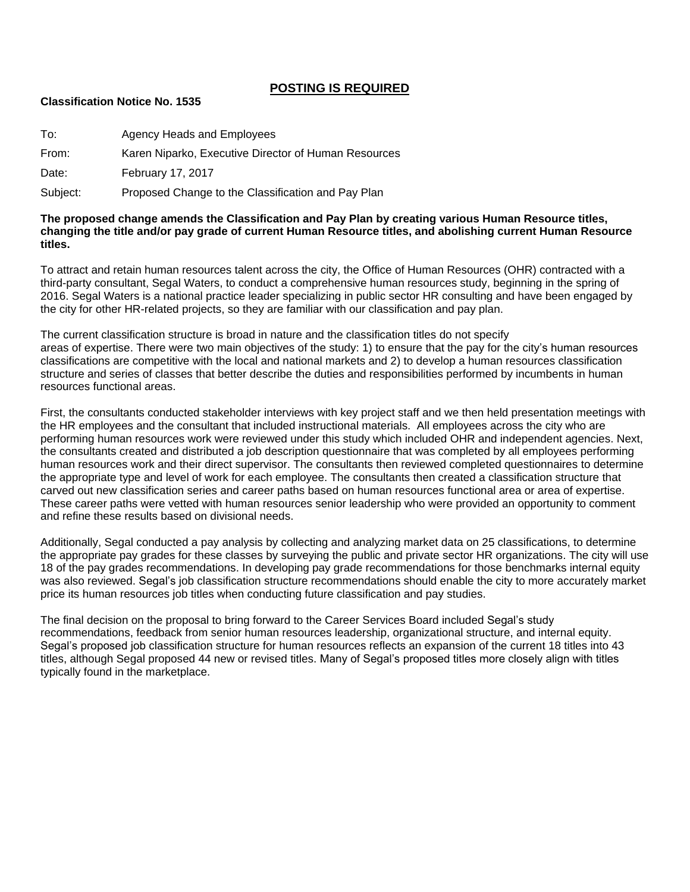# **POSTING IS REQUIRED**

#### **Classification Notice No. 1535**

| To:      | Agency Heads and Employees                           |
|----------|------------------------------------------------------|
| From:    | Karen Niparko, Executive Director of Human Resources |
| Date:    | <b>February 17, 2017</b>                             |
| Subject: | Proposed Change to the Classification and Pay Plan   |

#### **The proposed change amends the Classification and Pay Plan by creating various Human Resource titles, changing the title and/or pay grade of current Human Resource titles, and abolishing current Human Resource titles.**

To attract and retain human resources talent across the city, the Office of Human Resources (OHR) contracted with a third-party consultant, Segal Waters, to conduct a comprehensive human resources study, beginning in the spring of 2016. Segal Waters is a national practice leader specializing in public sector HR consulting and have been engaged by the city for other HR-related projects, so they are familiar with our classification and pay plan.

The current classification structure is broad in nature and the classification titles do not specify areas of expertise. There were two main objectives of the study: 1) to ensure that the pay for the city's human resources classifications are competitive with the local and national markets and 2) to develop a human resources classification structure and series of classes that better describe the duties and responsibilities performed by incumbents in human resources functional areas.

First, the consultants conducted stakeholder interviews with key project staff and we then held presentation meetings with the HR employees and the consultant that included instructional materials. All employees across the city who are performing human resources work were reviewed under this study which included OHR and independent agencies. Next, the consultants created and distributed a job description questionnaire that was completed by all employees performing human resources work and their direct supervisor. The consultants then reviewed completed questionnaires to determine the appropriate type and level of work for each employee. The consultants then created a classification structure that carved out new classification series and career paths based on human resources functional area or area of expertise. These career paths were vetted with human resources senior leadership who were provided an opportunity to comment and refine these results based on divisional needs.

Additionally, Segal conducted a pay analysis by collecting and analyzing market data on 25 classifications, to determine the appropriate pay grades for these classes by surveying the public and private sector HR organizations. The city will use 18 of the pay grades recommendations. In developing pay grade recommendations for those benchmarks internal equity was also reviewed. Segal's job classification structure recommendations should enable the city to more accurately market price its human resources job titles when conducting future classification and pay studies.

The final decision on the proposal to bring forward to the Career Services Board included Segal's study recommendations, feedback from senior human resources leadership, organizational structure, and internal equity. Segal's proposed job classification structure for human resources reflects an expansion of the current 18 titles into 43 titles, although Segal proposed 44 new or revised titles. Many of Segal's proposed titles more closely align with titles typically found in the marketplace.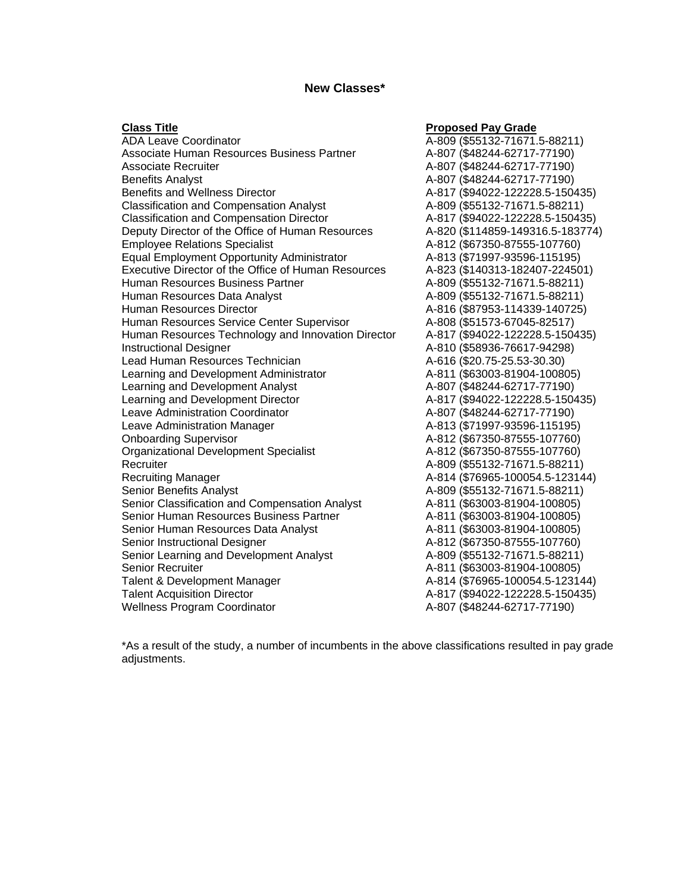## **New Classes\***

#### **Class Title Proposed Pay Grade** ADA Leave Coordinator **A-809** (\$55132-71671.5-88211) Associate Human Resources Business Partner  $A-807$  (\$48244-62717-77190) Associate Recruiter **A-807** (\$48244-62717-77190) Benefits Analyst A-807 (\$48244-62717-77190) Benefits and Wellness Director **A-817** (\$94022-122228.5-150435) Classification and Compensation Analyst A-809 (\$55132-71671.5-88211) Classification and Compensation Director <br>A-817 (\$94022-122228.5-150435) Deputy Director of the Office of Human Resources A-820 (\$114859-149316.5-183774) Employee Relations Specialist A-812 (\$67350-87555-107760) Equal Employment Opportunity Administrator A-813 (\$71997-93596-115195) Executive Director of the Office of Human Resources A-823 (\$140313-182407-224501) Human Resources Business Partner A-809 (\$55132-71671.5-88211) Human Resources Data Analyst **A-809** (\$55132-71671.5-88211) Human Resources Director **A-816 (\$87953-114339-140725)** Human Resources Service Center Supervisor <br>A-808 (\$51573-67045-82517) Human Resources Technology and Innovation Director A-817 (\$94022-122228.5-150435) Instructional Designer A-810 (\$58936-76617-94298) Lead Human Resources Technician A-616 (\$20.75-25.53-30.30) Learning and Development Administrator <br>A-811 (\$63003-81904-100805) Learning and Development Analyst A-807 (\$48244-62717-77190) Learning and Development Director **A-817** (\$94022-122228.5-150435) Leave Administration Coordinator **A-807 (\$48244-62717-77190)** Leave Administration Manager **A-813 (\$71997-93596-115195**) Onboarding Supervisor **A-812 (\$67350-87555-107760)** Organizational Development Specialist A-812 (\$67350-87555-107760) Recruiter **A-809 (\$55132-71671.5-88211)** Recruiting Manager **A-814 (\$76965-100054.5-123144**) Senior Benefits Analyst A-809 (\$55132-71671.5-88211) Senior Classification and Compensation Analyst <br>A-811 (\$63003-81904-100805) Senior Human Resources Business Partner <br>A-811 (\$63003-81904-100805) Senior Human Resources Data Analyst **A-811** (\$63003-81904-100805) Senior Instructional Designer **A-812** (\$67350-87555-107760) Senior Learning and Development Analyst **A-809** (\$55132-71671.5-88211) Senior Recruiter **A-811** (\$63003-81904-100805) Talent & Development Manager (2008) 4-814 (\$76965-100054.5-123144) Talent Acquisition Director **A-817 (\$94022-122228.5-150435)** Wellness Program Coordinator **A-807 (\$48244-62717-77190)**

\*As a result of the study, a number of incumbents in the above classifications resulted in pay grade adjustments.